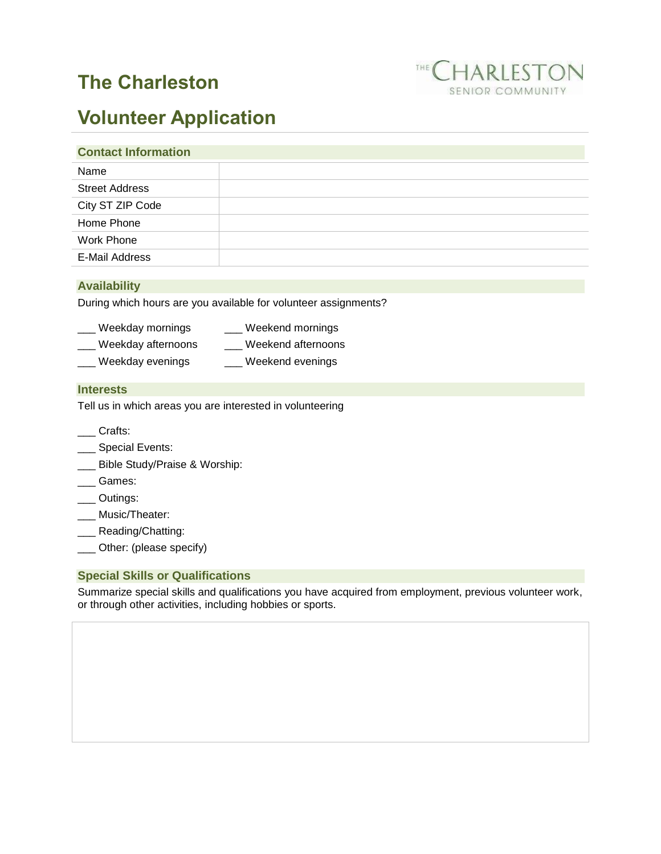# **The Charleston**



# **Volunteer Application**

#### **Contact Information**

| Name                  |  |
|-----------------------|--|
| <b>Street Address</b> |  |
| City ST ZIP Code      |  |
| Home Phone            |  |
| Work Phone            |  |
| E-Mail Address        |  |
|                       |  |

## **Availability**

During which hours are you available for volunteer assignments?

| Weekday mornings   | Weekend mornings   |
|--------------------|--------------------|
| Weekday afternoons | Weekend afternoons |

\_\_\_ Weekday evenings \_\_\_ Weekend evenings

### **Interests**

Tell us in which areas you are interested in volunteering

- \_\_\_ Crafts:
- \_\_\_ Special Events:
- \_\_\_ Bible Study/Praise & Worship:
- \_\_\_ Games:
- \_\_\_ Outings:
- \_\_\_ Music/Theater:
- \_\_\_ Reading/Chatting:
- \_\_\_ Other: (please specify)

## **Special Skills or Qualifications**

Summarize special skills and qualifications you have acquired from employment, previous volunteer work, or through other activities, including hobbies or sports.